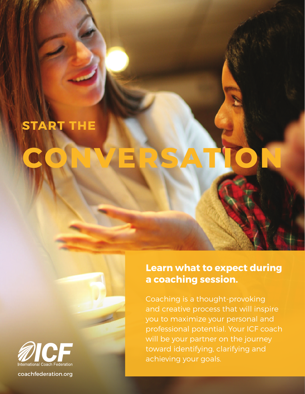## **START THE**

# **CONVERSATION**



coachfederation.org

### **Learn what to expect during a coaching session.**

Coaching is a thought-provoking and creative process that will inspire you to maximize your personal and professional potential. Your ICF coach will be your partner on the journey toward identifying, clarifying and achieving your goals.